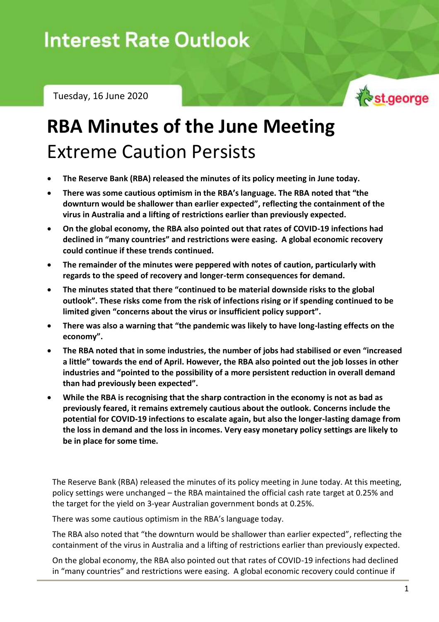Tuesday, 16 June 2020



## **RBA Minutes of the June Meeting** Extreme Caution Persists

- **The Reserve Bank (RBA) released the minutes of its policy meeting in June today.**
- **There was some cautious optimism in the RBA's language. The RBA noted that "the downturn would be shallower than earlier expected", reflecting the containment of the virus in Australia and a lifting of restrictions earlier than previously expected.**
- **On the global economy, the RBA also pointed out that rates of COVID-19 infections had declined in "many countries" and restrictions were easing. A global economic recovery could continue if these trends continued.**
- **The remainder of the minutes were peppered with notes of caution, particularly with regards to the speed of recovery and longer-term consequences for demand.**
- **The minutes stated that there "continued to be material downside risks to the global outlook". These risks come from the risk of infections rising or if spending continued to be limited given "concerns about the virus or insufficient policy support".**
- **There was also a warning that "the pandemic was likely to have long-lasting effects on the economy".**
- **The RBA noted that in some industries, the number of jobs had stabilised or even "increased a little" towards the end of April. However, the RBA also pointed out the job losses in other industries and "pointed to the possibility of a more persistent reduction in overall demand than had previously been expected".**
- **While the RBA is recognising that the sharp contraction in the economy is not as bad as previously feared, it remains extremely cautious about the outlook. Concerns include the potential for COVID-19 infections to escalate again, but also the longer-lasting damage from the loss in demand and the loss in incomes. Very easy monetary policy settings are likely to be in place for some time.**

The Reserve Bank (RBA) released the minutes of its policy meeting in June today. At this meeting, policy settings were unchanged – the RBA maintained the official cash rate target at 0.25% and the target for the yield on 3-year Australian government bonds at 0.25%.

There was some cautious optimism in the RBA's language today.

The RBA also noted that "the downturn would be shallower than earlier expected", reflecting the containment of the virus in Australia and a lifting of restrictions earlier than previously expected.

On the global economy, the RBA also pointed out that rates of COVID-19 infections had declined in "many countries" and restrictions were easing. A global economic recovery could continue if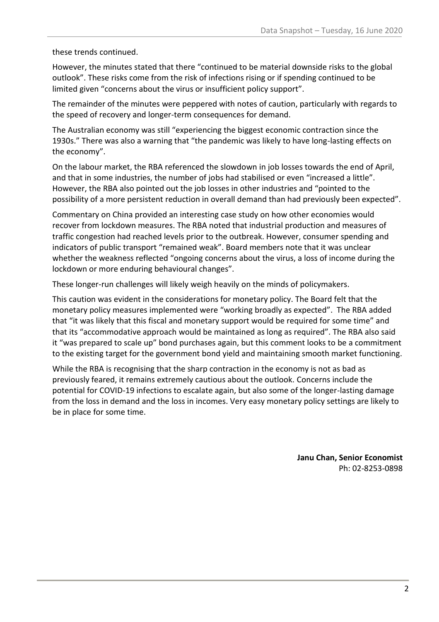these trends continued.

However, the minutes stated that there "continued to be material downside risks to the global outlook". These risks come from the risk of infections rising or if spending continued to be limited given "concerns about the virus or insufficient policy support".

The remainder of the minutes were peppered with notes of caution, particularly with regards to the speed of recovery and longer-term consequences for demand.

The Australian economy was still "experiencing the biggest economic contraction since the 1930s." There was also a warning that "the pandemic was likely to have long-lasting effects on the economy".

On the labour market, the RBA referenced the slowdown in job losses towards the end of April, and that in some industries, the number of jobs had stabilised or even "increased a little". However, the RBA also pointed out the job losses in other industries and "pointed to the possibility of a more persistent reduction in overall demand than had previously been expected".

Commentary on China provided an interesting case study on how other economies would recover from lockdown measures. The RBA noted that industrial production and measures of traffic congestion had reached levels prior to the outbreak. However, consumer spending and indicators of public transport "remained weak". Board members note that it was unclear whether the weakness reflected "ongoing concerns about the virus, a loss of income during the lockdown or more enduring behavioural changes".

These longer-run challenges will likely weigh heavily on the minds of policymakers.

This caution was evident in the considerations for monetary policy. The Board felt that the monetary policy measures implemented were "working broadly as expected". The RBA added that "it was likely that this fiscal and monetary support would be required for some time" and that its "accommodative approach would be maintained as long as required". The RBA also said it "was prepared to scale up" bond purchases again, but this comment looks to be a commitment to the existing target for the government bond yield and maintaining smooth market functioning.

While the RBA is recognising that the sharp contraction in the economy is not as bad as previously feared, it remains extremely cautious about the outlook. Concerns include the potential for COVID-19 infections to escalate again, but also some of the longer-lasting damage from the loss in demand and the loss in incomes. Very easy monetary policy settings are likely to be in place for some time.

> **Janu Chan, Senior Economist** Ph: 02-8253-0898